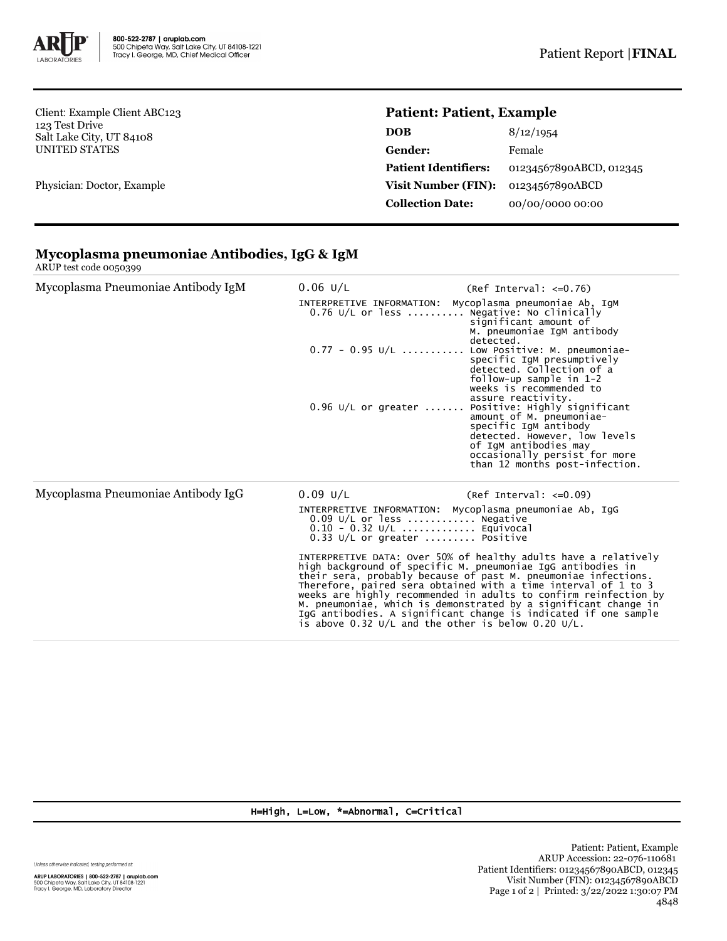

Client: Example Client ABC123 123 Test Drive Salt Lake City, UT 84108 UNITED STATES

Physician: Doctor, Example

## **Patient: Patient, Example**

| <b>DOB</b>                  | 8/12/1954               |
|-----------------------------|-------------------------|
| Gender:                     | Female                  |
| <b>Patient Identifiers:</b> | 01234567890ABCD, 012345 |
| Visit Number (FIN):         | 01234567890ABCD         |
| <b>Collection Date:</b>     | 00/00/0000 00:00        |

## **Mycoplasma pneumoniae Antibodies, IgG & IgM** ARUP test code 0050399

| Mycoplasma Pneumoniae Antibody IgM |  |
|------------------------------------|--|
|                                    |  |
|                                    |  |

| Mycoplasma Pneumoniae Antibody IgM | $0.06$ U/L | $(Ref Interval: < =0.76)$                                                                                                                                                                                                             |  |  |  |
|------------------------------------|------------|---------------------------------------------------------------------------------------------------------------------------------------------------------------------------------------------------------------------------------------|--|--|--|
|                                    |            | INTERPRETIVE INFORMATION: Mycoplasma pneumoniae Ab, IgM<br>$0.76$ U/L or less  Negative: No clinically<br>significant amount of<br>M. pneumoniae IgM antibody<br>detected.                                                            |  |  |  |
|                                    |            | $0.77 - 0.95$ U/L  Low Positive: M. pneumoniae-<br>specific IgM presumptively<br>detected. Collection of a<br>follow-up sample in 1-2<br>weeks is recommended to<br>assure reactivity.                                                |  |  |  |
|                                    |            | $0.96$ U/L or greater  Positive: Highly significant<br>amount of M. pneumoniae-<br>specific IgM antibody<br>detected. However, low levels<br>of IgM antibodies may<br>occasionally persist for more<br>than 12 months post-infection. |  |  |  |
| Mycoplasma Pneumoniae Antibody IgG | 0.09 U/L   | $(Ref Interval: < =0.09)$                                                                                                                                                                                                             |  |  |  |
|                                    |            | INTERPRETIVE INFORMATION: Mycoplasma pneumoniae Ab, IgG<br>$0.09$ U/L or less  Negative                                                                                                                                               |  |  |  |

0.09 U/L or less ............ Negative 0.10 - 0.32 U/L ............. Equivocal 0.33 U/L or greater ......... Positive

INTERPRETIVE DATA: Over 50% of healthy adults have a relatively<br>high background of specific M. pneumoniae IgG antibodies in<br>their sera, probably because of past M. pneumoniae infections.<br>Therefore, paired sera obtained wit

## H=High, L=Low, \*=Abnormal, C=Critical

Unless otherwise indicated, testing performed at:

**ARUP LABORATORIES | 800-522-2787 | aruplab.com**<br>500 Chipeta Way, Salt Lake City, UT 84108-1221<br>Tracy I. George, MD, Laboratory Director

Patient: Patient, Example ARUP Accession: 22-076-110681 Patient Identifiers: 01234567890ABCD, 012345 Visit Number (FIN): 01234567890ABCD Page 1 of 2 | Printed: 3/22/2022 1:30:07 PM 4848